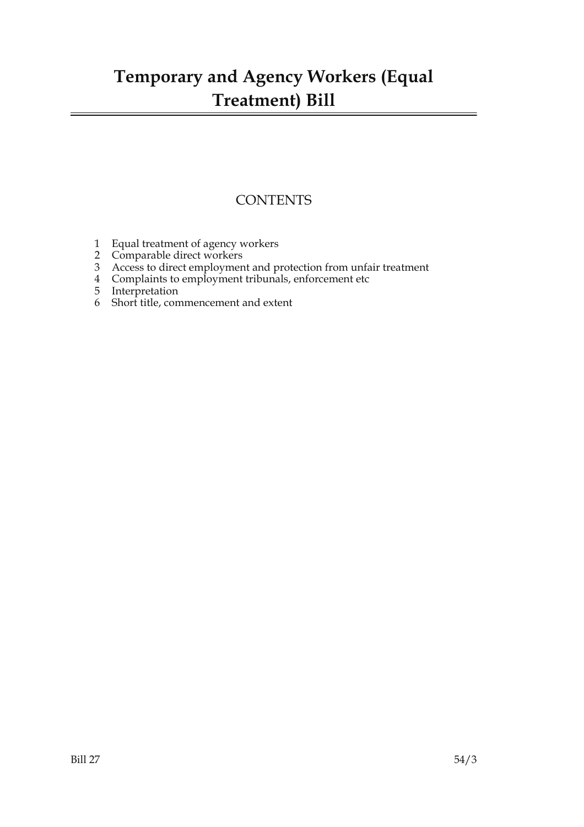## **Temporary and Agency Workers (Equal Treatment) Bill**

### **CONTENTS**

- 1 Equal treatment of agency workers
- 2 Comparable direct workers
- 3 Access to direct employment and protection from unfair treatment
- 4 Complaints to employment tribunals, enforcement etc
- 5 Interpretation
- 6 Short title, commencement and extent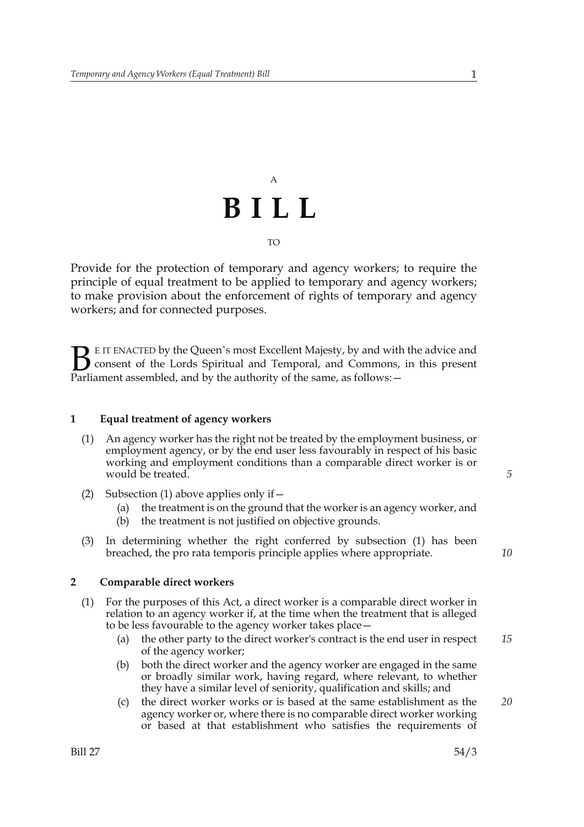# A **BILL** TO

Provide for the protection of temporary and agency workers; to require the principle of equal treatment to be applied to temporary and agency workers; to make provision about the enforcement of rights of temporary and agency workers; and for connected purposes.

E IT ENACTED by the Queen's most Excellent Majesty, by and with the advice and consent of the Lords Spiritual and Temporal, and Commons, in this present **B** E IT ENACTED by the Queen's most Excellent Majesty, by and with consent of the Lords Spiritual and Temporal, and Commons, Parliament assembled, and by the authority of the same, as follows:  $-$ 

### **1 Equal treatment of agency workers**

- (1) An agency worker has the right not be treated by the employment business, or employment agency, or by the end user less favourably in respect of his basic working and employment conditions than a comparable direct worker is or would be treated.
- (2) Subsection (1) above applies only if—
	- (a) the treatment is on the ground that the worker is an agency worker, and
	- (b) the treatment is not justified on objective grounds.
- (3) In determining whether the right conferred by subsection (1) has been breached, the pro rata temporis principle applies where appropriate.

#### **2 Comparable direct workers**

- (1) For the purposes of this Act, a direct worker is a comparable direct worker in relation to an agency worker if, at the time when the treatment that is alleged to be less favourable to the agency worker takes place—
	- (a) the other party to the direct worker's contract is the end user in respect of the agency worker; *15*
	- (b) both the direct worker and the agency worker are engaged in the same or broadly similar work, having regard, where relevant, to whether they have a similar level of seniority, qualification and skills; and
	- (c) the direct worker works or is based at the same establishment as the agency worker or, where there is no comparable direct worker working or based at that establishment who satisfies the requirements of *20*

*5*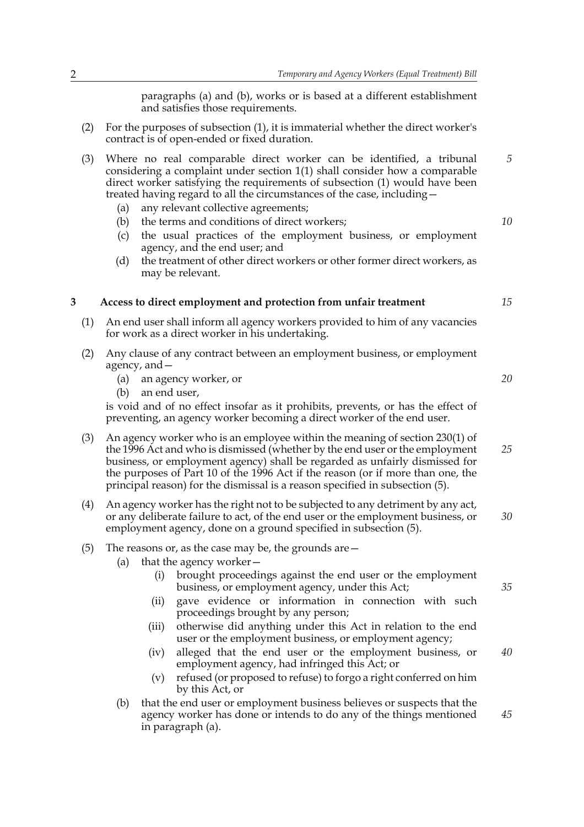paragraphs (a) and (b), works or is based at a different establishment and satisfies those requirements.

- (2) For the purposes of subsection (1), it is immaterial whether the direct worker's contract is of open-ended or fixed duration.
- (3) Where no real comparable direct worker can be identified, a tribunal considering a complaint under section 1(1) shall consider how a comparable direct worker satisfying the requirements of subsection (1) would have been treated having regard to all the circumstances of the case, including— *5*
	- (a) any relevant collective agreements;
	- (b) the terms and conditions of direct workers;
	- (c) the usual practices of the employment business, or employment agency, and the end user; and
	- (d) the treatment of other direct workers or other former direct workers, as may be relevant.

#### **3 Access to direct employment and protection from unfair treatment**

- (1) An end user shall inform all agency workers provided to him of any vacancies for work as a direct worker in his undertaking.
- (2) Any clause of any contract between an employment business, or employment agency, and—
	- (a) an agency worker, or
	- (b) an end user,

is void and of no effect insofar as it prohibits, prevents, or has the effect of preventing, an agency worker becoming a direct worker of the end user.

- (3) An agency worker who is an employee within the meaning of section 230(1) of the 1996 Act and who is dismissed (whether by the end user or the employment business, or employment agency) shall be regarded as unfairly dismissed for the purposes of Part 10 of the 1996 Act if the reason (or if more than one, the principal reason) for the dismissal is a reason specified in subsection (5). *25*
- (4) An agency worker has the right not to be subjected to any detriment by any act, or any deliberate failure to act, of the end user or the employment business, or employment agency, done on a ground specified in subsection (5). *30*
- (5) The reasons or, as the case may be, the grounds are—
	- (a) that the agency worker
		- brought proceedings against the end user or the employment business, or employment agency, under this Act;
		- (ii) gave evidence or information in connection with such proceedings brought by any person;
		- (iii) otherwise did anything under this Act in relation to the end user or the employment business, or employment agency;
		- (iv) alleged that the end user or the employment business, or employment agency, had infringed this Act; or *40*
		- (v) refused (or proposed to refuse) to forgo a right conferred on him by this Act, or
	- (b) that the end user or employment business believes or suspects that the agency worker has done or intends to do any of the things mentioned in paragraph (a). *45*

*10*

*15*

*20*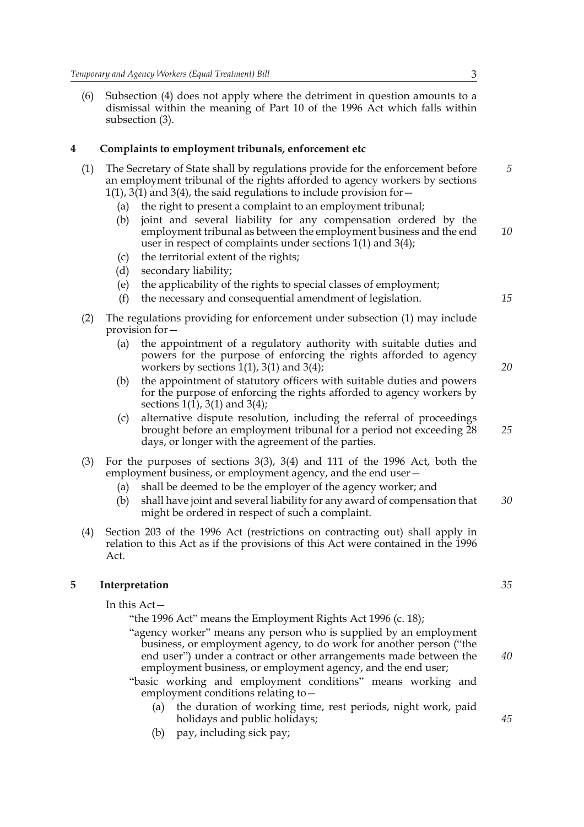(6) Subsection (4) does not apply where the detriment in question amounts to a dismissal within the meaning of Part 10 of the 1996 Act which falls within subsection (3).

#### **4 Complaints to employment tribunals, enforcement etc**

- (1) The Secretary of State shall by regulations provide for the enforcement before an employment tribunal of the rights afforded to agency workers by sections  $1(1)$ , 3(1) and 3(4), the said regulations to include provision for  $-$ 
	- (a) the right to present a complaint to an employment tribunal;
	- (b) joint and several liability for any compensation ordered by the employment tribunal as between the employment business and the end user in respect of complaints under sections 1(1) and 3(4); *10*
	- (c) the territorial extent of the rights;
	- (d) secondary liability;
	- (e) the applicability of the rights to special classes of employment;
	- (f) the necessary and consequential amendment of legislation.
- (2) The regulations providing for enforcement under subsection (1) may include provision for—
	- (a) the appointment of a regulatory authority with suitable duties and powers for the purpose of enforcing the rights afforded to agency workers by sections  $1(1)$ , 3(1) and 3(4);
	- (b) the appointment of statutory officers with suitable duties and powers for the purpose of enforcing the rights afforded to agency workers by sections 1(1), 3(1) and 3(4);
	- (c) alternative dispute resolution, including the referral of proceedings brought before an employment tribunal for a period not exceeding 28 days, or longer with the agreement of the parties.
- (3) For the purposes of sections 3(3), 3(4) and 111 of the 1996 Act, both the employment business, or employment agency, and the end user—
	- (a) shall be deemed to be the employer of the agency worker; and
	- (b) shall have joint and several liability for any award of compensation that might be ordered in respect of such a complaint. *30*
- (4) Section 203 of the 1996 Act (restrictions on contracting out) shall apply in relation to this Act as if the provisions of this Act were contained in the 1996 Act.

### **5 Interpretation**

In this Act—

"the 1996 Act" means the Employment Rights Act 1996 (c. 18);

- "agency worker" means any person who is supplied by an employment business, or employment agency, to do work for another person ("the end user") under a contract or other arrangements made between the employment business, or employment agency, and the end user;
- "basic working and employment conditions" means working and employment conditions relating to—
	- (a) the duration of working time, rest periods, night work, paid holidays and public holidays;
	- (b) pay, including sick pay;

*40*

*5*

*15*

*20*

*25*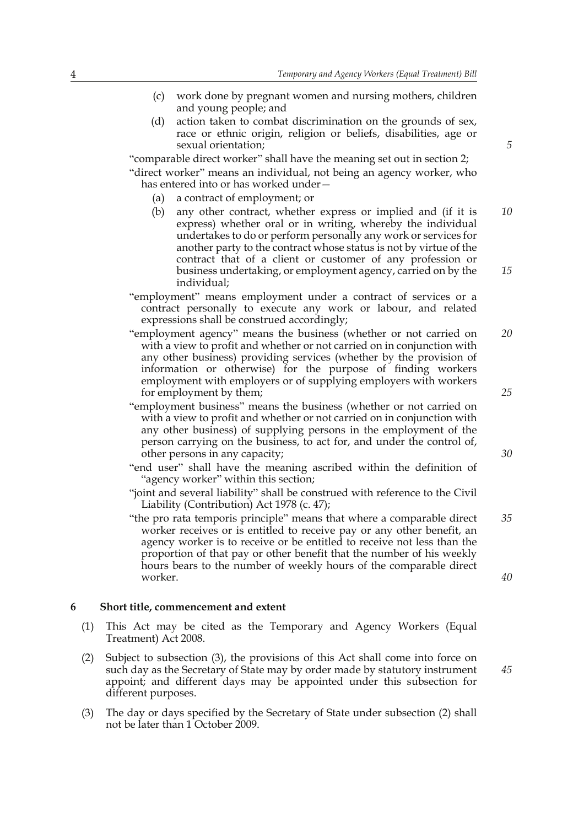- (c) work done by pregnant women and nursing mothers, children and young people; and
- (d) action taken to combat discrimination on the grounds of sex, race or ethnic origin, religion or beliefs, disabilities, age or sexual orientation;

"comparable direct worker" shall have the meaning set out in section 2; "direct worker" means an individual, not being an agency worker, who has entered into or has worked under—

- (a) a contract of employment; or
- (b) any other contract, whether express or implied and (if it is express) whether oral or in writing, whereby the individual undertakes to do or perform personally any work or services for another party to the contract whose status is not by virtue of the contract that of a client or customer of any profession or business undertaking, or employment agency, carried on by the individual; *10 15*
- "employment" means employment under a contract of services or a contract personally to execute any work or labour, and related expressions shall be construed accordingly;
- "employment agency" means the business (whether or not carried on with a view to profit and whether or not carried on in conjunction with any other business) providing services (whether by the provision of information or otherwise) for the purpose of finding workers employment with employers or of supplying employers with workers for employment by them; *20 25*
- "employment business" means the business (whether or not carried on with a view to profit and whether or not carried on in conjunction with any other business) of supplying persons in the employment of the person carrying on the business, to act for, and under the control of, other persons in any capacity;
- "end user" shall have the meaning ascribed within the definition of "agency worker" within this section;
- "joint and several liability" shall be construed with reference to the Civil Liability (Contribution) Act 1978 (c. 47);
- "the pro rata temporis principle" means that where a comparable direct worker receives or is entitled to receive pay or any other benefit, an agency worker is to receive or be entitled to receive not less than the proportion of that pay or other benefit that the number of his weekly hours bears to the number of weekly hours of the comparable direct worker. *35*

#### **6 Short title, commencement and extent**

- (1) This Act may be cited as the Temporary and Agency Workers (Equal Treatment) Act 2008.
- (2) Subject to subsection (3), the provisions of this Act shall come into force on such day as the Secretary of State may by order made by statutory instrument appoint; and different days may be appointed under this subsection for different purposes.
- (3) The day or days specified by the Secretary of State under subsection (2) shall not be later than 1 October 2009.

*5*

*30*

*40*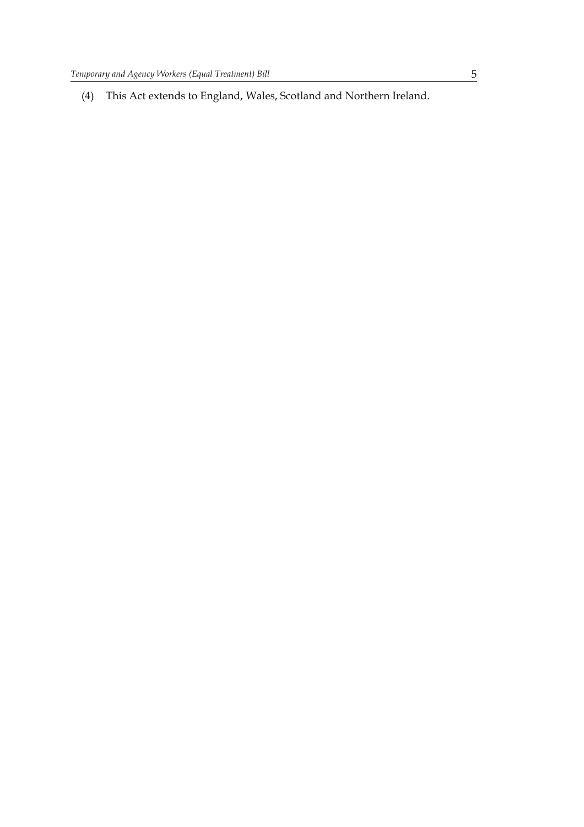(4) This Act extends to England, Wales, Scotland and Northern Ireland.